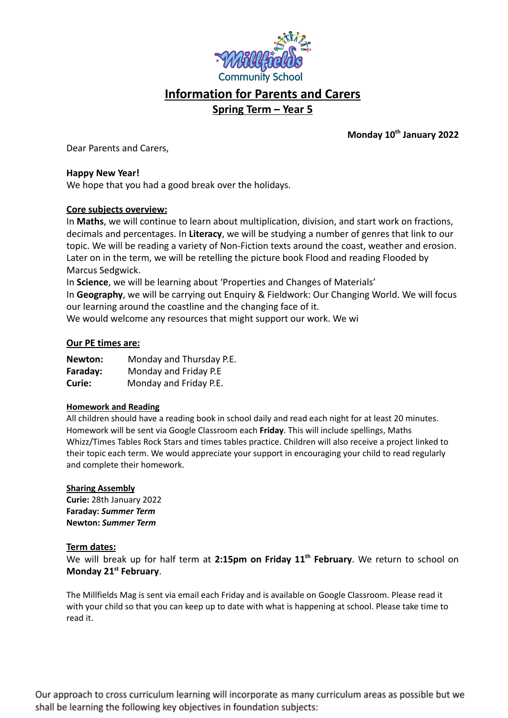

# **Information for Parents and Carers**

# **Spring Term – Year 5**

**Monday 10th January 2022**

Dear Parents and Carers,

## **Happy New Year!**

We hope that you had a good break over the holidays.

# **Core subjects overview:**

In **Maths**, we will continue to learn about multiplication, division, and start work on fractions, decimals and percentages. In **Literacy**, we will be studying a number of genres that link to our topic. We will be reading a variety of Non-Fiction texts around the coast, weather and erosion. Later on in the term, we will be retelling the picture book Flood and reading Flooded by Marcus Sedgwick.

In **Science**, we will be learning about 'Properties and Changes of Materials'

In **Geography**, we will be carrying out Enquiry & Fieldwork: Our Changing World. We will focus our learning around the coastline and the changing face of it.

We would welcome any resources that might support our work. We wi

### **Our PE times are:**

| Newton:  | Monday and Thursday P.E. |
|----------|--------------------------|
| Faraday: | Monday and Friday P.E    |
| Curie:   | Monday and Friday P.E.   |

#### **Homework and Reading**

All children should have a reading book in school daily and read each night for at least 20 minutes. Homework will be sent via Google Classroom each **Friday**. This will include spellings, Maths Whizz/Times Tables Rock Stars and times tables practice. Children will also receive a project linked to their topic each term. We would appreciate your support in encouraging your child to read regularly and complete their homework.

#### **Sharing Assembly**

**Curie:** 28th January 2022 **Faraday:** *Summer Term* **Newton:** *Summer Term*

#### **Term dates:**

We will break up for half term at **2:15pm on Friday 11th February**. We return to school on **Monday 21st February**.

The Millfields Mag is sent via email each Friday and is available on Google Classroom. Please read it with your child so that you can keep up to date with what is happening at school. Please take time to read it.

Our approach to cross curriculum learning will incorporate as many curriculum areas as possible but we shall be learning the following key objectives in foundation subjects: